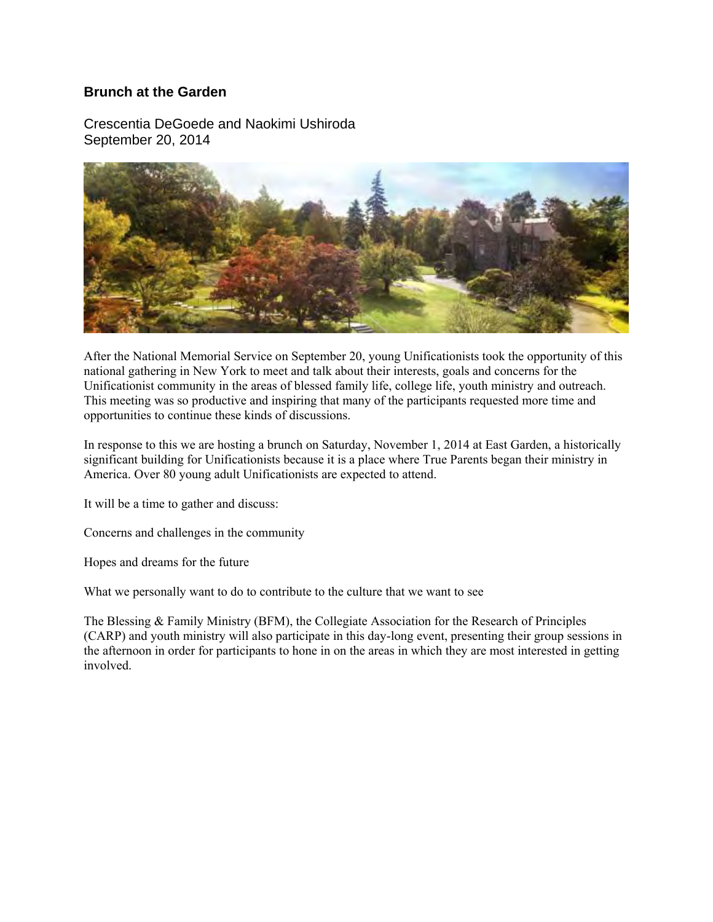## **Brunch at the Garden**

Crescentia DeGoede and Naokimi Ushiroda September 20, 2014



After the National Memorial Service on September 20, young Unificationists took the opportunity of this national gathering in New York to meet and talk about their interests, goals and concerns for the Unificationist community in the areas of blessed family life, college life, youth ministry and outreach. This meeting was so productive and inspiring that many of the participants requested more time and opportunities to continue these kinds of discussions.

In response to this we are hosting a brunch on Saturday, November 1, 2014 at East Garden, a historically significant building for Unificationists because it is a place where True Parents began their ministry in America. Over 80 young adult Unificationists are expected to attend.

It will be a time to gather and discuss:

Concerns and challenges in the community

Hopes and dreams for the future

What we personally want to do to contribute to the culture that we want to see

The Blessing & Family Ministry (BFM), the Collegiate Association for the Research of Principles (CARP) and youth ministry will also participate in this day-long event, presenting their group sessions in the afternoon in order for participants to hone in on the areas in which they are most interested in getting involved.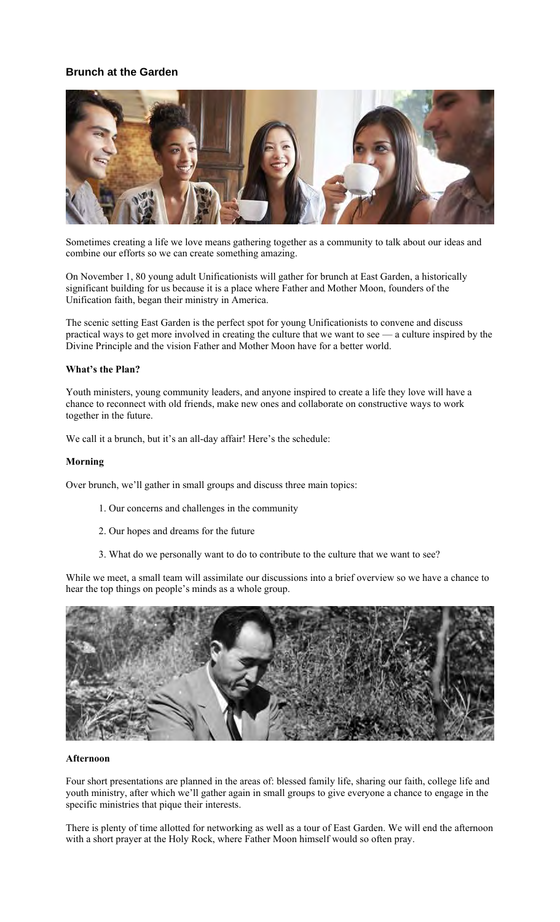# **Brunch at the Garden**



Sometimes creating a life we love means gathering together as a community to talk about our ideas and combine our efforts so we can create something amazing.

On November 1, 80 young adult Unificationists will gather for brunch at East Garden, a historically significant building for us because it is a place where Father and Mother Moon, founders of the Unification faith, began their ministry in America.

The scenic setting East Garden is the perfect spot for young Unificationists to convene and discuss practical ways to get more involved in creating the culture that we want to see — a culture inspired by the Divine Principle and the vision Father and Mother Moon have for a better world.

## **What's the Plan?**

Youth ministers, young community leaders, and anyone inspired to create a life they love will have a chance to reconnect with old friends, make new ones and collaborate on constructive ways to work together in the future.

We call it a brunch, but it's an all-day affair! Here's the schedule:

#### **Morning**

Over brunch, we'll gather in small groups and discuss three main topics:

- 1. Our concerns and challenges in the community
- 2. Our hopes and dreams for the future
- 3. What do we personally want to do to contribute to the culture that we want to see?

While we meet, a small team will assimilate our discussions into a brief overview so we have a chance to hear the top things on people's minds as a whole group.



#### **Afternoon**

Four short presentations are planned in the areas of: blessed family life, sharing our faith, college life and youth ministry, after which we'll gather again in small groups to give everyone a chance to engage in the specific ministries that pique their interests.

There is plenty of time allotted for networking as well as a tour of East Garden. We will end the afternoon with a short prayer at the Holy Rock, where Father Moon himself would so often pray.